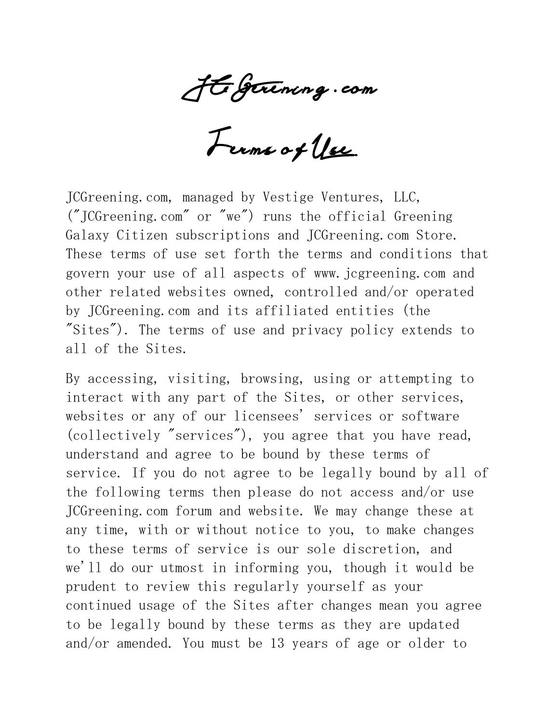JCGerening . com

Terms of Use

JCGreening.com, managed by Vestige Ventures, LLC, ("JCGreening.com" or "we") runs the official Greening Galaxy Citizen subscriptions and JCGreening.com Store. These terms of use set forth the terms and conditions that govern your use of all aspects of www.jcgreening.com and other related websites owned, controlled and/or operated by JCGreening.com and its affiliated entities (the "Sites"). The terms of use and privacy policy extends to all of the Sites.

By accessing, visiting, browsing, using or attempting to interact with any part of the Sites, or other services, websites or any of our licensees' services or software (collectively "services"), you agree that you have read, understand and agree to be bound by these terms of service. If you do not agree to be legally bound by all of the following terms then please do not access and/or use JCGreening.com forum and website. We may change these at any time, with or without notice to you, to make changes to these terms of service is our sole discretion, and we'll do our utmost in informing you, though it would be prudent to review this regularly yourself as your continued usage of the Sites after changes mean you agree to be legally bound by these terms as they are updated and/or amended. You must be 13 years of age or older to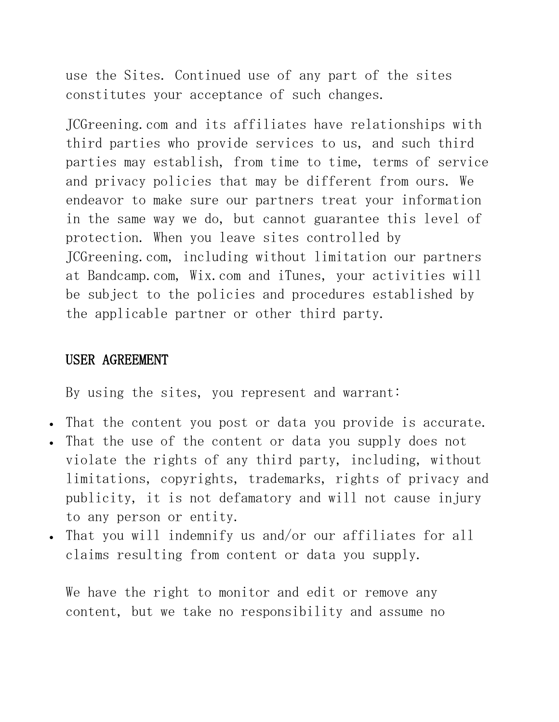use the Sites. Continued use of any part of the sites constitutes your acceptance of such changes.

JCGreening.com and its affiliates have relationships with third parties who provide services to us, and such third parties may establish, from time to time, terms of service and privacy policies that may be different from ours. We endeavor to make sure our partners treat your information in the same way we do, but cannot guarantee this level of protection. When you leave sites controlled by JCGreening.com, including without limitation our partners at Bandcamp.com, Wix.com and iTunes, your activities will be subject to the policies and procedures established by the applicable partner or other third party.

#### USER AGREEMENT

By using the sites, you represent and warrant:

- That the content you post or data you provide is accurate.
- That the use of the content or data you supply does not violate the rights of any third party, including, without limitations, copyrights, trademarks, rights of privacy and publicity, it is not defamatory and will not cause injury to any person or entity.
- That you will indemnify us and/or our affiliates for all claims resulting from content or data you supply.

We have the right to monitor and edit or remove any content, but we take no responsibility and assume no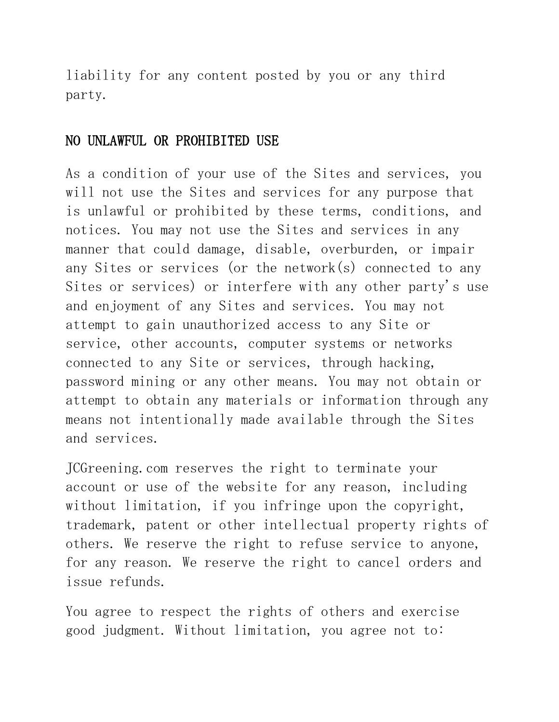liability for any content posted by you or any third party.

#### NO UNLAWFUL OR PROHIBITED USE

As a condition of your use of the Sites and services, you will not use the Sites and services for any purpose that is unlawful or prohibited by these terms, conditions, and notices. You may not use the Sites and services in any manner that could damage, disable, overburden, or impair any Sites or services (or the network(s) connected to any Sites or services) or interfere with any other party's use and enjoyment of any Sites and services. You may not attempt to gain unauthorized access to any Site or service, other accounts, computer systems or networks connected to any Site or services, through hacking, password mining or any other means. You may not obtain or attempt to obtain any materials or information through any means not intentionally made available through the Sites and services.

JCGreening.com reserves the right to terminate your account or use of the website for any reason, including without limitation, if you infringe upon the copyright, trademark, patent or other intellectual property rights of others. We reserve the right to refuse service to anyone, for any reason. We reserve the right to cancel orders and issue refunds.

You agree to respect the rights of others and exercise good judgment. Without limitation, you agree not to: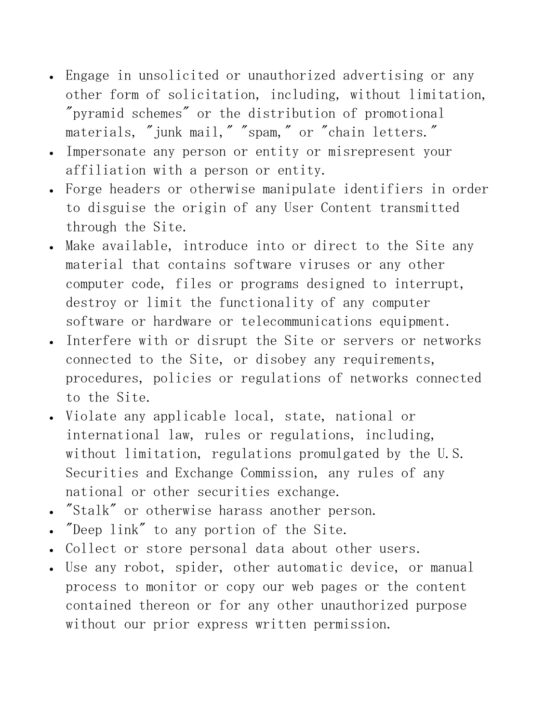- Engage in unsolicited or unauthorized advertising or any other form of solicitation, including, without limitation, "pyramid schemes" or the distribution of promotional materials, "junk mail," "spam," or "chain letters."
- Impersonate any person or entity or misrepresent your affiliation with a person or entity.
- Forge headers or otherwise manipulate identifiers in order to disguise the origin of any User Content transmitted through the Site.
- Make available, introduce into or direct to the Site any material that contains software viruses or any other computer code, files or programs designed to interrupt, destroy or limit the functionality of any computer software or hardware or telecommunications equipment.
- Interfere with or disrupt the Site or servers or networks connected to the Site, or disobey any requirements, procedures, policies or regulations of networks connected to the Site.
- Violate any applicable local, state, national or international law, rules or regulations, including, without limitation, regulations promulgated by the U.S. Securities and Exchange Commission, any rules of any national or other securities exchange.
- "Stalk" or otherwise harass another person.
- "Deep link" to any portion of the Site.
- Collect or store personal data about other users.
- Use any robot, spider, other automatic device, or manual process to monitor or copy our web pages or the content contained thereon or for any other unauthorized purpose without our prior express written permission.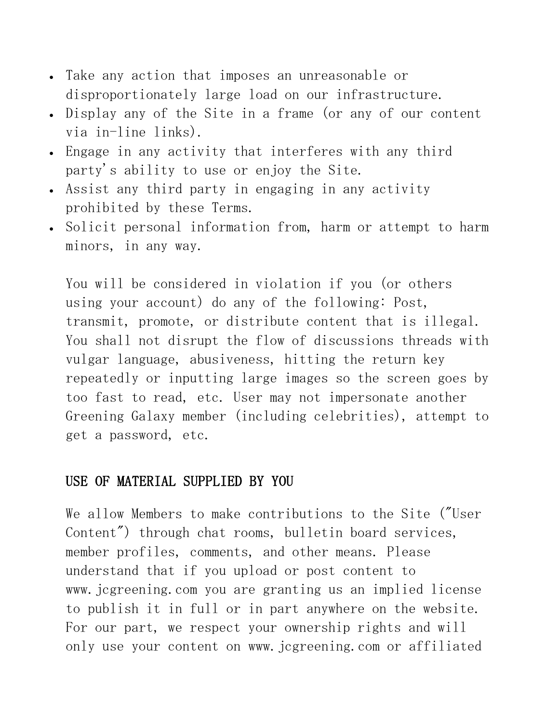- Take any action that imposes an unreasonable or disproportionately large load on our infrastructure.
- Display any of the Site in a frame (or any of our content via in-line links).
- Engage in any activity that interferes with any third party's ability to use or enjoy the Site.
- Assist any third party in engaging in any activity prohibited by these Terms.
- Solicit personal information from, harm or attempt to harm minors, in any way.

You will be considered in violation if you (or others using your account) do any of the following: Post, transmit, promote, or distribute content that is illegal. You shall not disrupt the flow of discussions threads with vulgar language, abusiveness, hitting the return key repeatedly or inputting large images so the screen goes by too fast to read, etc. User may not impersonate another Greening Galaxy member (including celebrities), attempt to get a password, etc.

#### USE OF MATERIAL SUPPLIED BY YOU

We allow Members to make contributions to the Site ("User Content") through chat rooms, bulletin board services, member profiles, comments, and other means. Please understand that if you upload or post content to www.jcgreening.com you are granting us an implied license to publish it in full or in part anywhere on the website. For our part, we respect your ownership rights and will only use your content on www.jcgreening.com or affiliated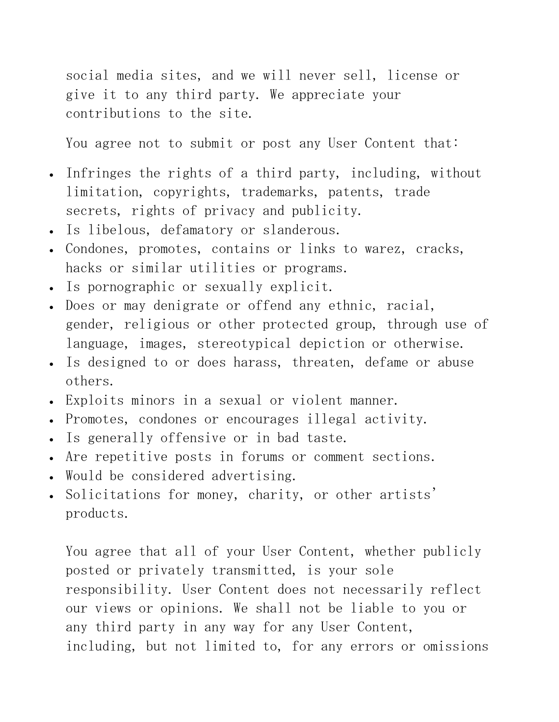social media sites, and we will never sell, license or give it to any third party. We appreciate your contributions to the site.

You agree not to submit or post any User Content that:

- Infringes the rights of a third party, including, without limitation, copyrights, trademarks, patents, trade secrets, rights of privacy and publicity.
- Is libelous, defamatory or slanderous.
- Condones, promotes, contains or links to warez, cracks, hacks or similar utilities or programs.
- Is pornographic or sexually explicit.
- Does or may denigrate or offend any ethnic, racial, gender, religious or other protected group, through use of language, images, stereotypical depiction or otherwise.
- Is designed to or does harass, threaten, defame or abuse others.
- Exploits minors in a sexual or violent manner.
- Promotes, condones or encourages illegal activity.
- Is generally offensive or in bad taste.
- Are repetitive posts in forums or comment sections.
- Would be considered advertising.
- Solicitations for money, charity, or other artists' products.

You agree that all of your User Content, whether publicly posted or privately transmitted, is your sole responsibility. User Content does not necessarily reflect our views or opinions. We shall not be liable to you or any third party in any way for any User Content, including, but not limited to, for any errors or omissions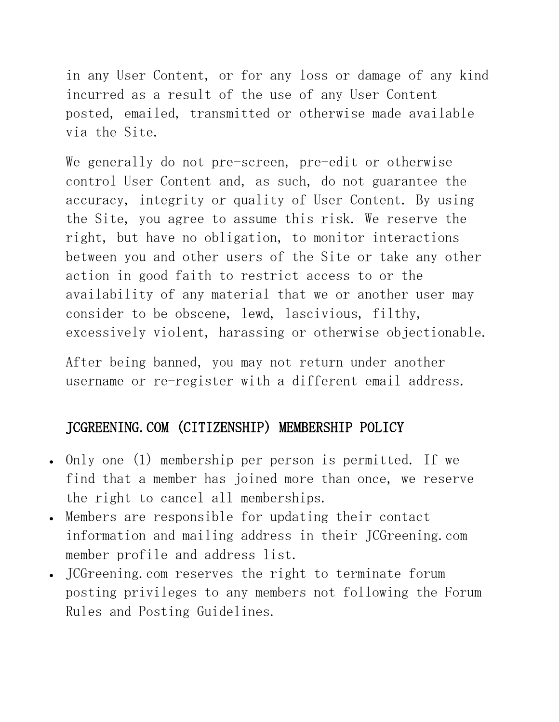in any User Content, or for any loss or damage of any kind incurred as a result of the use of any User Content posted, emailed, transmitted or otherwise made available via the Site.

We generally do not pre-screen, pre-edit or otherwise control User Content and, as such, do not guarantee the accuracy, integrity or quality of User Content. By using the Site, you agree to assume this risk. We reserve the right, but have no obligation, to monitor interactions between you and other users of the Site or take any other action in good faith to restrict access to or the availability of any material that we or another user may consider to be obscene, lewd, lascivious, filthy, excessively violent, harassing or otherwise objectionable.

After being banned, you may not return under another username or re-register with a different email address.

# JCGREENING.COM (CITIZENSHIP) MEMBERSHIP POLICY

- Only one (1) membership per person is permitted. If we find that a member has joined more than once, we reserve the right to cancel all memberships.
- Members are responsible for updating their contact information and mailing address in their JCGreening.com member profile and address list.
- JCGreening.com reserves the right to terminate forum posting privileges to any members not following the Forum Rules and Posting Guidelines.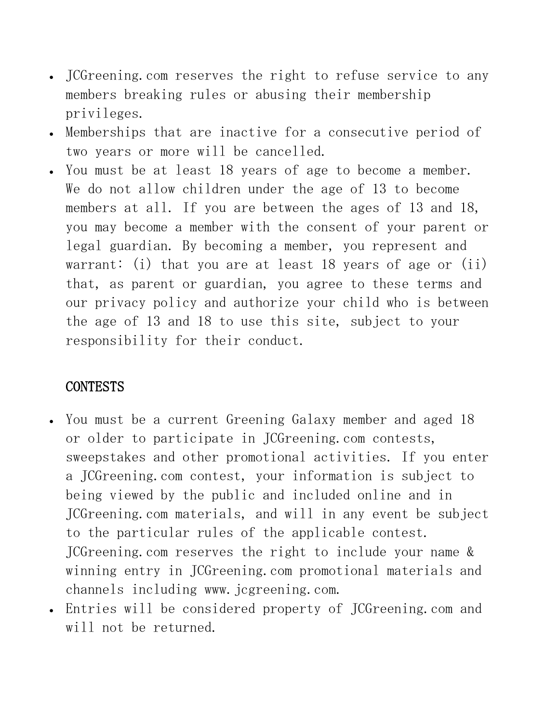- JCGreening.com reserves the right to refuse service to any members breaking rules or abusing their membership privileges.
- Memberships that are inactive for a consecutive period of two years or more will be cancelled.
- You must be at least 18 years of age to become a member. We do not allow children under the age of 13 to become members at all. If you are between the ages of 13 and 18, you may become a member with the consent of your parent or legal guardian. By becoming a member, you represent and warrant: (i) that you are at least 18 years of age or (ii) that, as parent or guardian, you agree to these terms and our privacy policy and authorize your child who is between the age of 13 and 18 to use this site, subject to your responsibility for their conduct.

### CONTESTS

- You must be a current Greening Galaxy member and aged 18 or older to participate in JCGreening.com contests, sweepstakes and other promotional activities. If you enter a JCGreening.com contest, your information is subject to being viewed by the public and included online and in JCGreening.com materials, and will in any event be subject to the particular rules of the applicable contest. JCGreening.com reserves the right to include your name & winning entry in JCGreening.com promotional materials and channels including www. jcgreening.com.
- Entries will be considered property of JCGreening.com and will not be returned.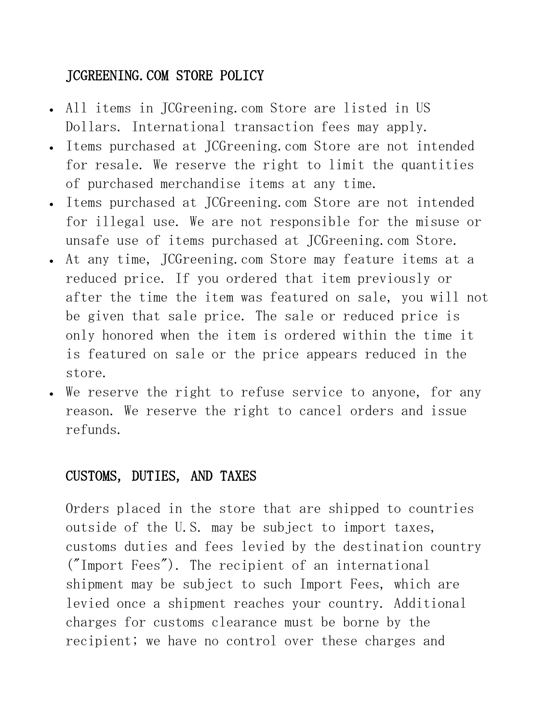# JCGREENING.COM STORE POLICY

- All items in JCGreening.com Store are listed in US Dollars. International transaction fees may apply.
- Items purchased at JCGreening.com Store are not intended for resale. We reserve the right to limit the quantities of purchased merchandise items at any time.
- Items purchased at JCGreening.com Store are not intended for illegal use. We are not responsible for the misuse or unsafe use of items purchased at JCGreening.com Store.
- At any time, JCGreening.com Store may feature items at a reduced price. If you ordered that item previously or after the time the item was featured on sale, you will not be given that sale price. The sale or reduced price is only honored when the item is ordered within the time it is featured on sale or the price appears reduced in the store.
- We reserve the right to refuse service to anyone, for any reason. We reserve the right to cancel orders and issue refunds.

# CUSTOMS, DUTIES, AND TAXES

Orders placed in the store that are shipped to countries outside of the U.S. may be subject to import taxes, customs duties and fees levied by the destination country ("Import Fees"). The recipient of an international shipment may be subject to such Import Fees, which are levied once a shipment reaches your country. Additional charges for customs clearance must be borne by the recipient; we have no control over these charges and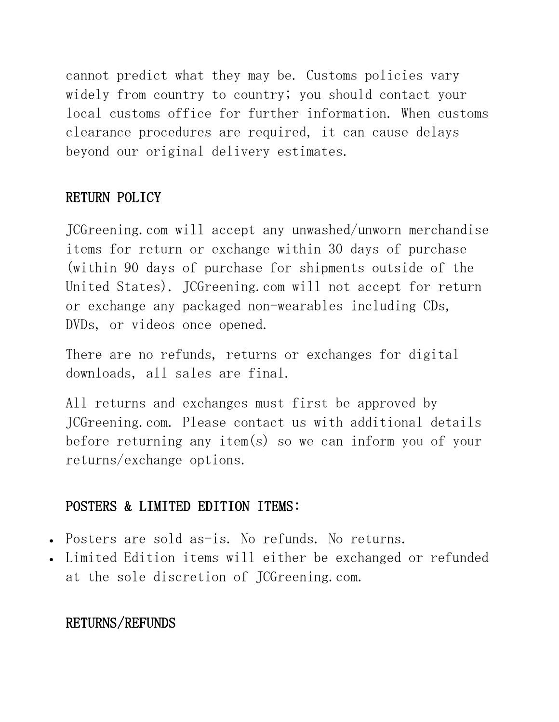cannot predict what they may be. Customs policies vary widely from country to country; you should contact your local customs office for further information. When customs clearance procedures are required, it can cause delays beyond our original delivery estimates.

### RETURN POLICY

JCGreening.com will accept any unwashed/unworn merchandise items for return or exchange within 30 days of purchase (within 90 days of purchase for shipments outside of the United States). JCGreening.com will not accept for return or exchange any packaged non-wearables including CDs, DVDs, or videos once opened.

There are no refunds, returns or exchanges for digital downloads, all sales are final.

All returns and exchanges must first be approved by JCGreening.com. Please contact us with additional details before returning any item(s) so we can inform you of your returns/exchange options.

# POSTERS & LIMITED EDITION ITEMS:

- Posters are sold as-is. No refunds. No returns.
- Limited Edition items will either be exchanged or refunded at the sole discretion of JCGreening.com.

# RETURNS/REFUNDS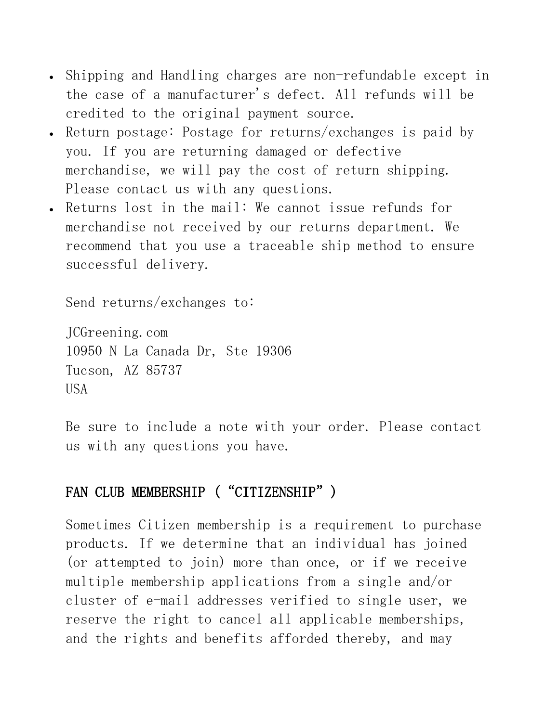- Shipping and Handling charges are non-refundable except in the case of a manufacturer's defect. All refunds will be credited to the original payment source.
- Return postage: Postage for returns/exchanges is paid by you. If you are returning damaged or defective merchandise, we will pay the cost of return shipping. Please contact us with any questions.
- Returns lost in the mail: We cannot issue refunds for merchandise not received by our returns department. We recommend that you use a traceable ship method to ensure successful delivery.

Send returns/exchanges to:

JCGreening.com 10950 N La Canada Dr, Ste 19306 Tucson, AZ 85737 USA

Be sure to include a note with your order. Please contact us with any questions you have.

# FAN CLUB MEMBERSHIP ("CITIZENSHIP")

Sometimes Citizen membership is a requirement to purchase products. If we determine that an individual has joined (or attempted to join) more than once, or if we receive multiple membership applications from a single and/or cluster of e-mail addresses verified to single user, we reserve the right to cancel all applicable memberships, and the rights and benefits afforded thereby, and may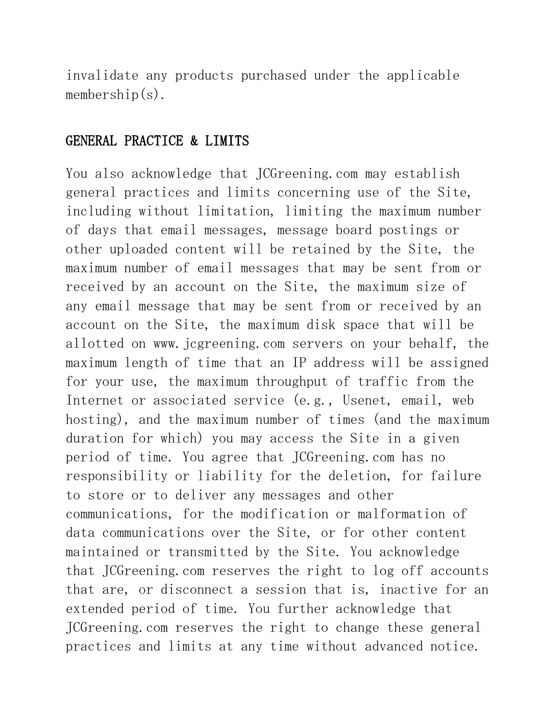invalidate any products purchased under the applicable membership $(s)$ .

### GENERAL PRACTICE & LIMITS

You also acknowledge that JCGreening.com may establish general practices and limits concerning use of the Site, including without limitation, limiting the maximum number of days that email messages, message board postings or other uploaded content will be retained by the Site, the maximum number of email messages that may be sent from or received by an account on the Site, the maximum size of any email message that may be sent from or received by an account on the Site, the maximum disk space that will be allotted on www.jcgreening.com servers on your behalf, the maximum length of time that an IP address will be assigned for your use, the maximum throughput of traffic from the Internet or associated service (e.g., Usenet, email, web hosting), and the maximum number of times (and the maximum duration for which) you may access the Site in a given period of time. You agree that JCGreening.com has no responsibility or liability for the deletion, for failure to store or to deliver any messages and other communications, for the modification or malformation of data communications over the Site, or for other content maintained or transmitted by the Site. You acknowledge that JCGreening.com reserves the right to log off accounts that are, or disconnect a session that is, inactive for an extended period of time. You further acknowledge that JCGreening.com reserves the right to change these general practices and limits at any time without advanced notice.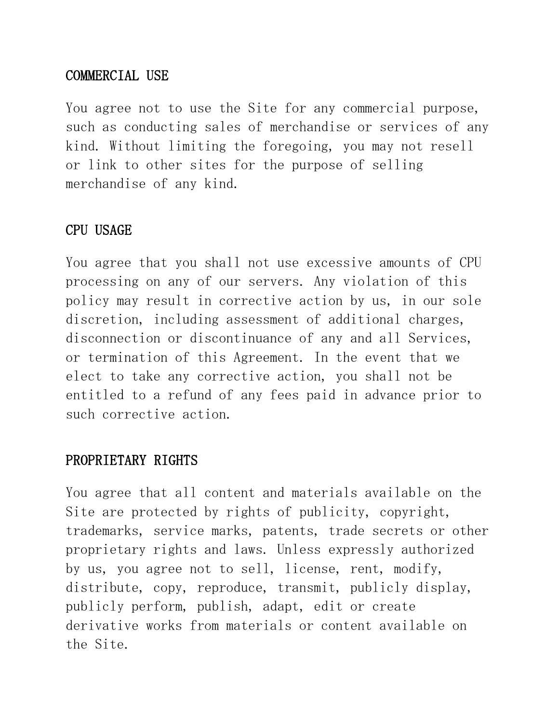### COMMERCIAL USE

You agree not to use the Site for any commercial purpose, such as conducting sales of merchandise or services of any kind. Without limiting the foregoing, you may not resell or link to other sites for the purpose of selling merchandise of any kind.

### CPU USAGE

You agree that you shall not use excessive amounts of CPU processing on any of our servers. Any violation of this policy may result in corrective action by us, in our sole discretion, including assessment of additional charges, disconnection or discontinuance of any and all Services, or termination of this Agreement. In the event that we elect to take any corrective action, you shall not be entitled to a refund of any fees paid in advance prior to such corrective action.

### PROPRIETARY RIGHTS

You agree that all content and materials available on the Site are protected by rights of publicity, copyright, trademarks, service marks, patents, trade secrets or other proprietary rights and laws. Unless expressly authorized by us, you agree not to sell, license, rent, modify, distribute, copy, reproduce, transmit, publicly display, publicly perform, publish, adapt, edit or create derivative works from materials or content available on the Site.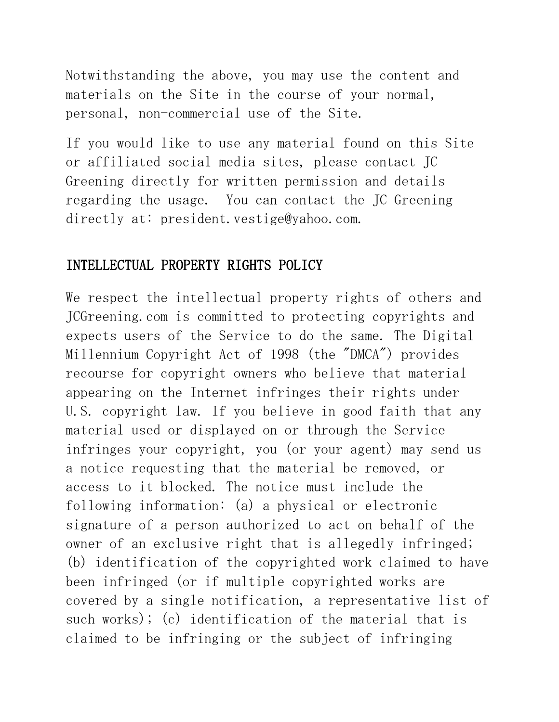Notwithstanding the above, you may use the content and materials on the Site in the course of your normal, personal, non-commercial use of the Site.

If you would like to use any material found on this Site or affiliated social media sites, please contact JC Greening directly for written permission and details regarding the usage. You can contact the JC Greening directly at: president.vestige@yahoo.com.

### INTELLECTUAL PROPERTY RIGHTS POLICY

We respect the intellectual property rights of others and JCGreening.com is committed to protecting copyrights and expects users of the Service to do the same. The Digital Millennium Copyright Act of 1998 (the "DMCA") provides recourse for copyright owners who believe that material appearing on the Internet infringes their rights under U.S. copyright law. If you believe in good faith that any material used or displayed on or through the Service infringes your copyright, you (or your agent) may send us a notice requesting that the material be removed, or access to it blocked. The notice must include the following information: (a) a physical or electronic signature of a person authorized to act on behalf of the owner of an exclusive right that is allegedly infringed; (b) identification of the copyrighted work claimed to have been infringed (or if multiple copyrighted works are covered by a single notification, a representative list of such works); (c) identification of the material that is claimed to be infringing or the subject of infringing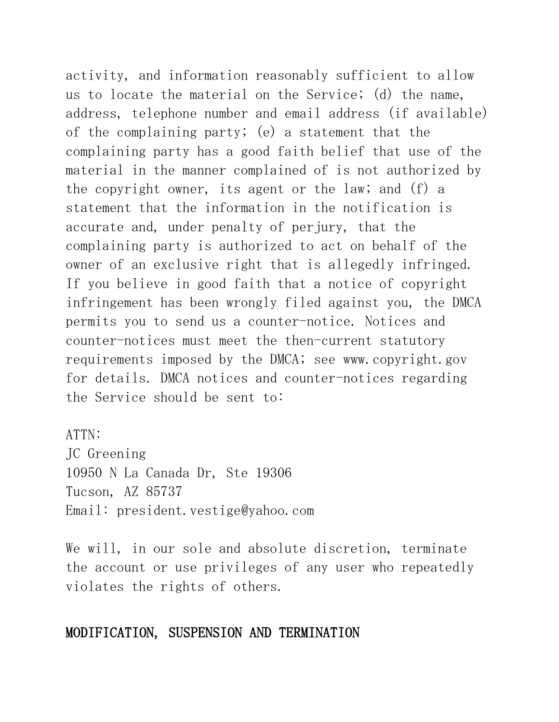activity, and information reasonably sufficient to allow us to locate the material on the Service; (d) the name, address, telephone number and email address (if available) of the complaining party; (e) a statement that the complaining party has a good faith belief that use of the material in the manner complained of is not authorized by the copyright owner, its agent or the law; and (f) a statement that the information in the notification is accurate and, under penalty of perjury, that the complaining party is authorized to act on behalf of the owner of an exclusive right that is allegedly infringed. If you believe in good faith that a notice of copyright infringement has been wrongly filed against you, the DMCA permits you to send us a counter-notice. Notices and counter-notices must meet the then-current statutory requirements imposed by the DMCA; see [www.copyright.gov](http://www.copyright.gov/) for details. DMCA notices and counter-notices regarding the Service should be sent to:

ATTN: JC Greening 10950 N La Canada Dr, Ste 19306 Tucson, AZ 85737 Email: [president.vestige@yahoo.com](mailto:president.vestige@yahoo.com)

We will, in our sole and absolute discretion, terminate the account or use privileges of any user who repeatedly violates the rights of others.

#### MODIFICATION, SUSPENSION AND TERMINATION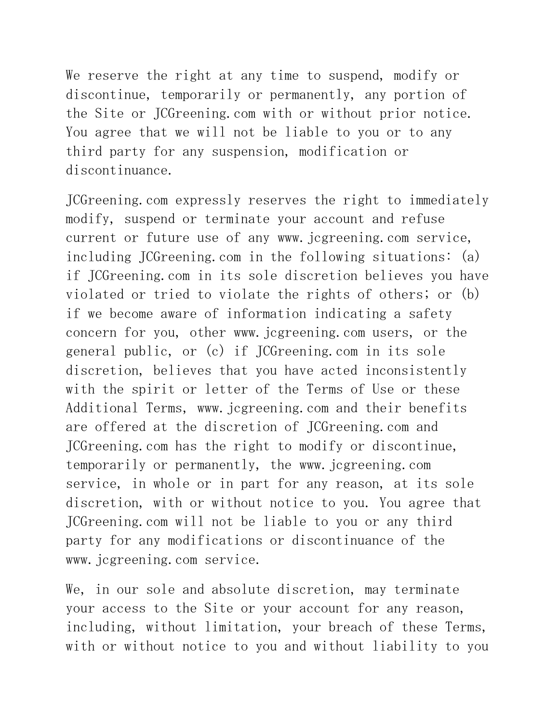We reserve the right at any time to suspend, modify or discontinue, temporarily or permanently, any portion of the Site or JCGreening.com with or without prior notice. You agree that we will not be liable to you or to any third party for any suspension, modification or discontinuance.

JCGreening.com expressly reserves the right to immediately modify, suspend or terminate your account and refuse current or future use of any www.jcgreening.com service, including JCGreening.com in the following situations: (a) if JCGreening.com in its sole discretion believes you have violated or tried to violate the rights of others; or (b) if we become aware of information indicating a safety concern for you, other www.jcgreening.com users, or the general public, or (c) if JCGreening.com in its sole discretion, believes that you have acted inconsistently with the spirit or letter of the Terms of Use or these Additional Terms, www.jcgreening.com and their benefits are offered at the discretion of JCGreening.com and JCGreening.com has the right to modify or discontinue, temporarily or permanently, the www.jcgreening.com service, in whole or in part for any reason, at its sole discretion, with or without notice to you. You agree that JCGreening.com will not be liable to you or any third party for any modifications or discontinuance of the www.jcgreening.com service.

We, in our sole and absolute discretion, may terminate your access to the Site or your account for any reason, including, without limitation, your breach of these Terms, with or without notice to you and without liability to you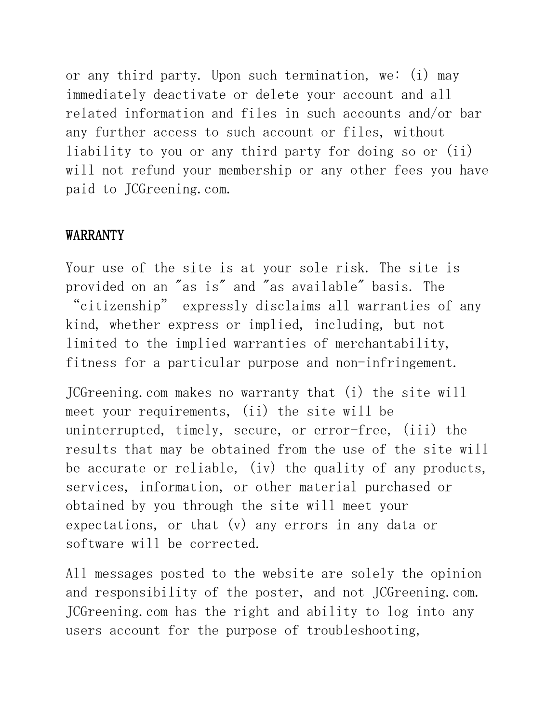or any third party. Upon such termination, we: (i) may immediately deactivate or delete your account and all related information and files in such accounts and/or bar any further access to such account or files, without liability to you or any third party for doing so or (ii) will not refund your membership or any other fees you have paid to JCGreening.com.

#### WARRANTY

Your use of the site is at your sole risk. The site is provided on an "as is" and "as available" basis. The "citizenship" expressly disclaims all warranties of any kind, whether express or implied, including, but not limited to the implied warranties of merchantability, fitness for a particular purpose and non-infringement.

JCGreening.com makes no warranty that (i) the site will meet your requirements, (ii) the site will be uninterrupted, timely, secure, or error-free, (iii) the results that may be obtained from the use of the site will be accurate or reliable, (iv) the quality of any products, services, information, or other material purchased or obtained by you through the site will meet your expectations, or that (v) any errors in any data or software will be corrected.

All messages posted to the website are solely the opinion and responsibility of the poster, and not JCGreening.com. JCGreening.com has the right and ability to log into any users account for the purpose of troubleshooting,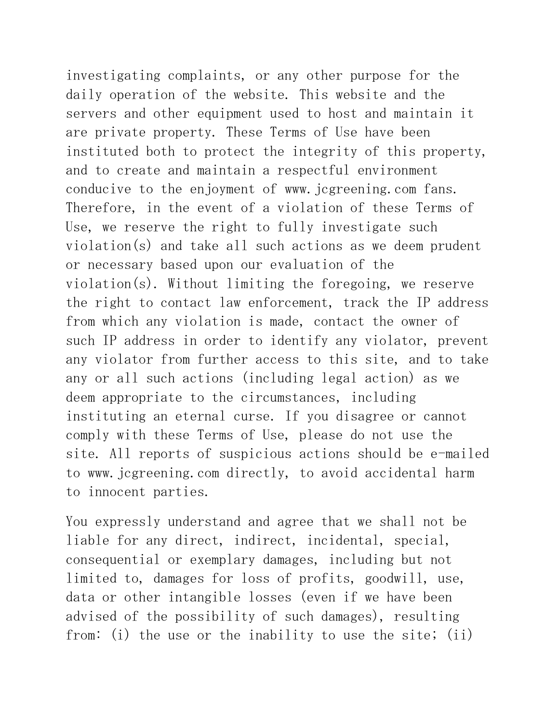investigating complaints, or any other purpose for the daily operation of the website. This website and the servers and other equipment used to host and maintain it are private property. These Terms of Use have been instituted both to protect the integrity of this property, and to create and maintain a respectful environment conducive to the enjoyment of www.jcgreening.com fans. Therefore, in the event of a violation of these Terms of Use, we reserve the right to fully investigate such violation(s) and take all such actions as we deem prudent or necessary based upon our evaluation of the violation(s). Without limiting the foregoing, we reserve the right to contact law enforcement, track the IP address from which any violation is made, contact the owner of such IP address in order to identify any violator, prevent any violator from further access to this site, and to take any or all such actions (including legal action) as we deem appropriate to the circumstances, including instituting an eternal curse. If you disagree or cannot comply with these Terms of Use, please do not use the site. All reports of suspicious actions should be e-mailed to www.jcgreening.com directly, to avoid accidental harm to innocent parties.

You expressly understand and agree that we shall not be liable for any direct, indirect, incidental, special, consequential or exemplary damages, including but not limited to, damages for loss of profits, goodwill, use, data or other intangible losses (even if we have been advised of the possibility of such damages), resulting from: (i) the use or the inability to use the site; (ii)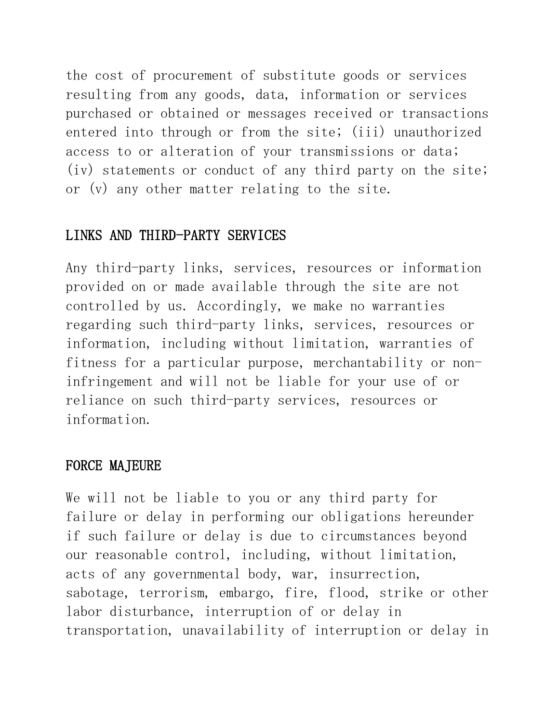the cost of procurement of substitute goods or services resulting from any goods, data, information or services purchased or obtained or messages received or transactions entered into through or from the site; (iii) unauthorized access to or alteration of your transmissions or data; (iv) statements or conduct of any third party on the site; or (v) any other matter relating to the site.

### LINKS AND THIRD-PARTY SERVICES

Any third-party links, services, resources or information provided on or made available through the site are not controlled by us. Accordingly, we make no warranties regarding such third-party links, services, resources or information, including without limitation, warranties of fitness for a particular purpose, merchantability or noninfringement and will not be liable for your use of or reliance on such third-party services, resources or information.

#### FORCE MAJEURE

We will not be liable to you or any third party for failure or delay in performing our obligations hereunder if such failure or delay is due to circumstances beyond our reasonable control, including, without limitation, acts of any governmental body, war, insurrection, sabotage, terrorism, embargo, fire, flood, strike or other labor disturbance, interruption of or delay in transportation, unavailability of interruption or delay in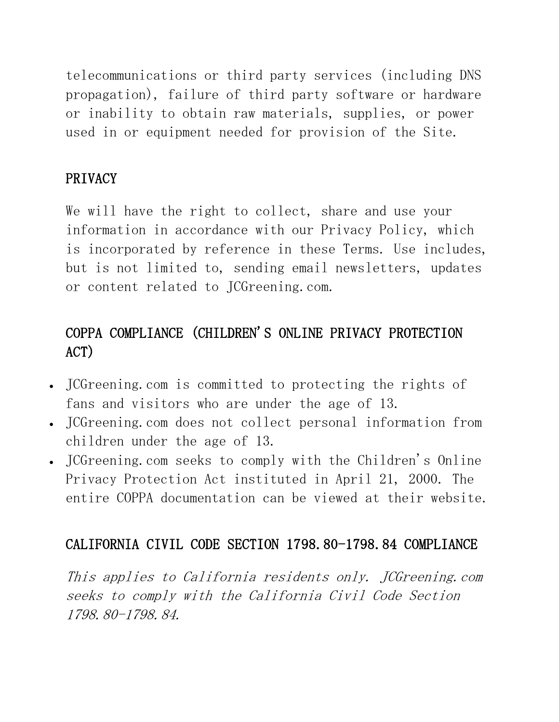telecommunications or third party services (including DNS propagation), failure of third party software or hardware or inability to obtain raw materials, supplies, or power used in or equipment needed for provision of the Site.

## PRIVACY

We will have the right to collect, share and use your information in accordance with our Privacy Policy, which is incorporated by reference in these Terms. Use includes, but is not limited to, sending email newsletters, updates or content related to JCGreening.com.

# COPPA COMPLIANCE (CHILDREN'S ONLINE PRIVACY PROTECTION ACT)

- JCGreening.com is committed to protecting the rights of fans and visitors who are under the age of 13.
- JCGreening.com does not collect personal information from children under the age of 13.
- JCGreening.com seeks to comply with the Children's Online Privacy Protection Act instituted in April 21, 2000. The entire COPPA documentation can be viewed at their website.

# CALIFORNIA CIVIL CODE SECTION 1798.80-1798.84 COMPLIANCE

This applies to California residents only. JCGreening.com seeks to comply with the California Civil Code Section 1798.80-1798.84.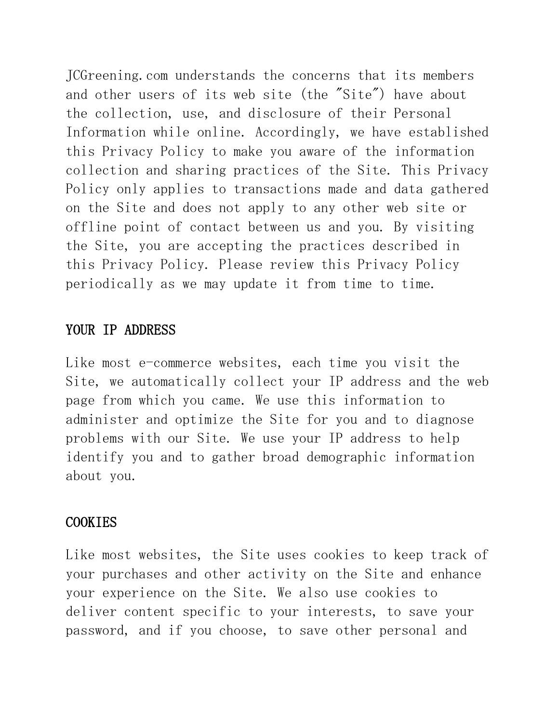JCGreening.com understands the concerns that its members and other users of its web site (the "Site") have about the collection, use, and disclosure of their Personal Information while online. Accordingly, we have established this Privacy Policy to make you aware of the information collection and sharing practices of the Site. This Privacy Policy only applies to transactions made and data gathered on the Site and does not apply to any other web site or offline point of contact between us and you. By visiting the Site, you are accepting the practices described in this Privacy Policy. Please review this Privacy Policy periodically as we may update it from time to time.

#### YOUR IP ADDRESS

Like most e-commerce websites, each time you visit the Site, we automatically collect your IP address and the web page from which you came. We use this information to administer and optimize the Site for you and to diagnose problems with our Site. We use your IP address to help identify you and to gather broad demographic information about you.

#### COOKIES

Like most websites, the Site uses cookies to keep track of your purchases and other activity on the Site and enhance your experience on the Site. We also use cookies to deliver content specific to your interests, to save your password, and if you choose, to save other personal and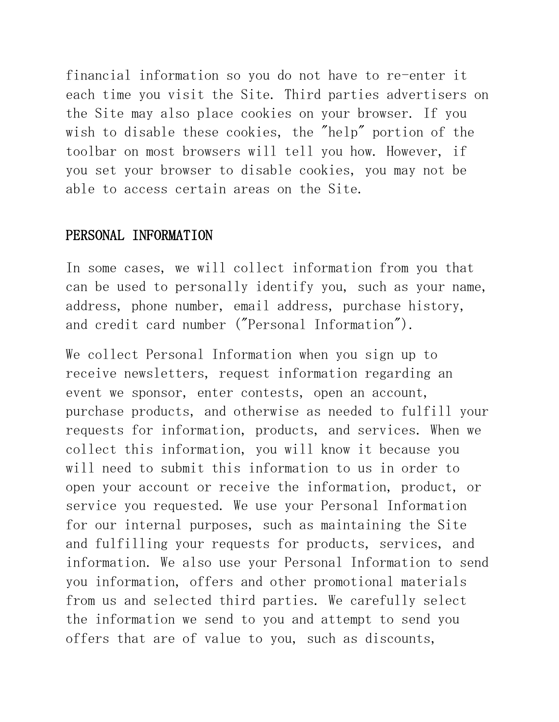financial information so you do not have to re-enter it each time you visit the Site. Third parties advertisers on the Site may also place cookies on your browser. If you wish to disable these cookies, the "help" portion of the toolbar on most browsers will tell you how. However, if you set your browser to disable cookies, you may not be able to access certain areas on the Site.

#### PERSONAL INFORMATION

In some cases, we will collect information from you that can be used to personally identify you, such as your name, address, phone number, email address, purchase history, and credit card number ("Personal Information").

We collect Personal Information when you sign up to receive newsletters, request information regarding an event we sponsor, enter contests, open an account, purchase products, and otherwise as needed to fulfill your requests for information, products, and services. When we collect this information, you will know it because you will need to submit this information to us in order to open your account or receive the information, product, or service you requested. We use your Personal Information for our internal purposes, such as maintaining the Site and fulfilling your requests for products, services, and information. We also use your Personal Information to send you information, offers and other promotional materials from us and selected third parties. We carefully select the information we send to you and attempt to send you offers that are of value to you, such as discounts,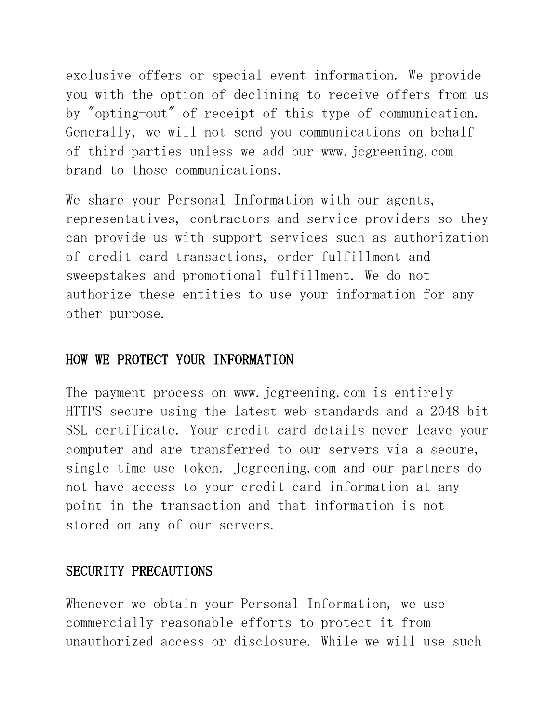exclusive offers or special event information. We provide you with the option of declining to receive offers from us by "opting-out" of receipt of this type of communication. Generally, we will not send you communications on behalf of third parties unless we add our www.jcgreening.com brand to those communications.

We share your Personal Information with our agents, representatives, contractors and service providers so they can provide us with support services such as authorization of credit card transactions, order fulfillment and sweepstakes and promotional fulfillment. We do not authorize these entities to use your information for any other purpose.

#### HOW WE PROTECT YOUR INFORMATION

The payment process on www. jcgreening.com is entirely HTTPS secure using the latest web standards and a 2048 bit SSL certificate. Your credit card details never leave your computer and are transferred to our servers via a secure, single time use token. Jcgreening.com and our partners do not have access to your credit card information at any point in the transaction and that information is not stored on any of our servers.

#### SECURITY PRECAUTIONS

Whenever we obtain your Personal Information, we use commercially reasonable efforts to protect it from unauthorized access or disclosure. While we will use such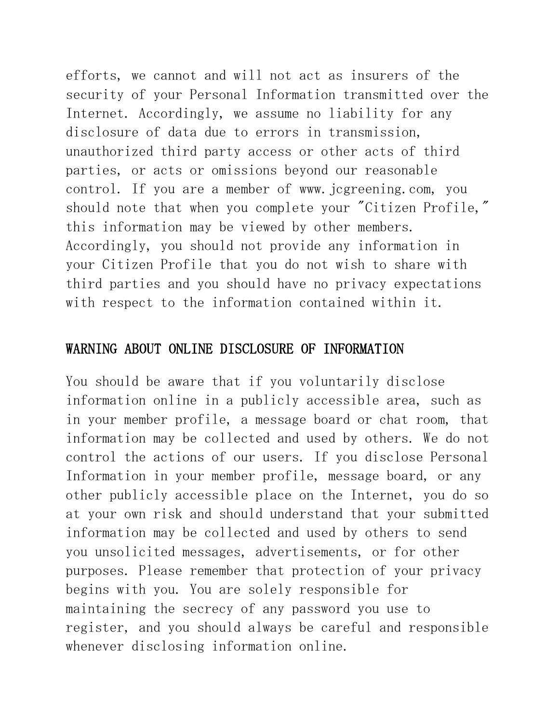efforts, we cannot and will not act as insurers of the security of your Personal Information transmitted over the Internet. Accordingly, we assume no liability for any disclosure of data due to errors in transmission, unauthorized third party access or other acts of third parties, or acts or omissions beyond our reasonable control. If you are a member of www.jcgreening.com, you should note that when you complete your "Citizen Profile," this information may be viewed by other members. Accordingly, you should not provide any information in your Citizen Profile that you do not wish to share with third parties and you should have no privacy expectations with respect to the information contained within it.

#### WARNING ABOUT ONLINE DISCLOSURE OF INFORMATION

You should be aware that if you voluntarily disclose information online in a publicly accessible area, such as in your member profile, a message board or chat room, that information may be collected and used by others. We do not control the actions of our users. If you disclose Personal Information in your member profile, message board, or any other publicly accessible place on the Internet, you do so at your own risk and should understand that your submitted information may be collected and used by others to send you unsolicited messages, advertisements, or for other purposes. Please remember that protection of your privacy begins with you. You are solely responsible for maintaining the secrecy of any password you use to register, and you should always be careful and responsible whenever disclosing information online.